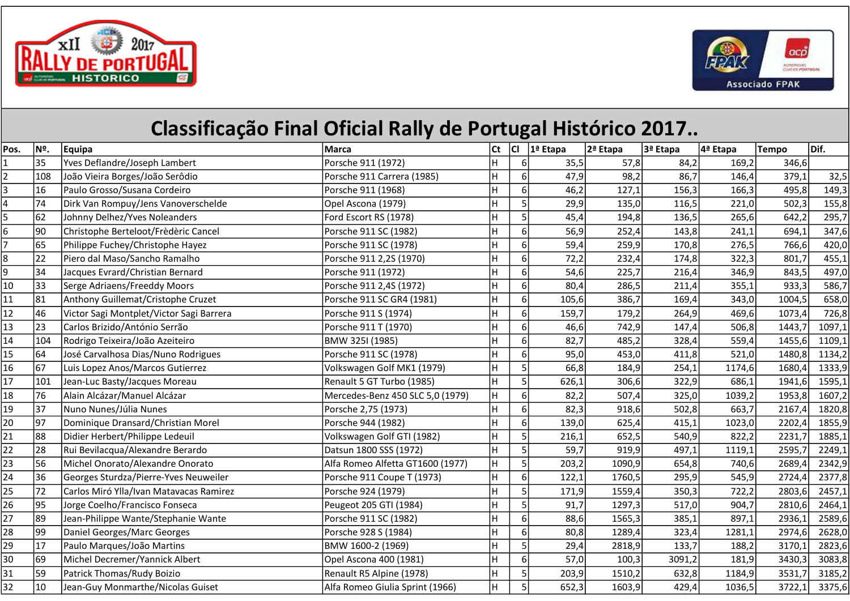



## Classificação Final Oficial Rally de Portugal Histórico 2017..

| Pos.            | Nº. | <b>Equipa</b>                            | Marca                            | Ct | CI             | 1ª Etapa | 2ª Etapa | 3ª Etapa | 4ª Etapa | Tempo  | Dif.   |
|-----------------|-----|------------------------------------------|----------------------------------|----|----------------|----------|----------|----------|----------|--------|--------|
| $\mathbf{1}$    | 35  | Yves Deflandre/Joseph Lambert            | Porsche 911 (1972)               | H  | $6 \mid$       | 35,5     | 57,8     | 84,2     | 169,2    | 346,6  |        |
| $\overline{2}$  | 108 | João Vieira Borges/João Serôdio          | Porsche 911 Carrera (1985)       |    | 6              | 47,9     | 98,2     | 86,7     | 146,4    | 379,1  | 32,5   |
| 3               | 16  | Paulo Grosso/Susana Cordeiro             | Porsche 911 (1968)               | Н  | $6 \mid$       | 46,2     | 127,1    | 156,3    | 166,3    | 495,8  | 149,3  |
| 4               | 74  | Dirk Van Rompuy/Jens Vanoverschelde      | Opel Ascona (1979)               | Ĥ  | 5              | 29,9     | 135,0    | 116,5    | 221,0    | 502,3  | 155,8  |
| 5               | 62  | Johnny Delhez/Yves Noleanders            | Ford Escort RS (1978)            | Н  |                | 45,4     | 194,8    | 136,5    | 265,6    | 642,2  | 295,7  |
| $\overline{6}$  | 90  | Christophe Berteloot/Frèdèric Cancel     | Porsche 911 SC (1982)            | H  | 6              | 56,9     | 252,4    | 143,8    | 241,1    | 694,1  | 347,6  |
| $\overline{7}$  | 65  | Philippe Fuchey/Christophe Hayez         | Porsche 911 SC (1978)            | Н  | $6 \mid$       | 59,4     | 259,9    | 170,8    | 276,5    | 766,6  | 420,0  |
| 8               | 22  | Piero dal Maso/Sancho Ramalho            | Porsche 911 2,2S (1970)          | H  | $6 \mid$       | 72,2     | 232,4    | 174,8    | 322,3    | 801,7  | 455,1  |
| 9               | 34  | Jacques Evrard/Christian Bernard         | Porsche 911 (1972)               | Н  | 6              | 54,6     | 225,7    | 216,4    | 346,9    | 843,5  | 497,0  |
| 10              | 33  | Serge Adriaens/Freeddy Moors             | Porsche 911 2,4S (1972)          | H  | 6              | 80,4     | 286,5    | 211,4    | 355,1    | 933,3  | 586,7  |
| 11              | 81  | Anthony Guillemat/Cristophe Cruzet       | Porsche 911 SC GR4 (1981)        |    | $6 \mid$       | 105,6    | 386,7    | 169,4    | 343,0    | 1004,5 | 658,0  |
| 12              | 46  | Victor Sagi Montplet/Victor Sagi Barrera | Porsche 911 S (1974)             | H  | $6 \mid$       | 159,7    | 179,2    | 264,9    | 469,6    | 1073,4 | 726,8  |
| 13              | 23  | Carlos Brizido/António Serrão            | Porsche 911 T (1970)             | H  | $6 \mid$       | 46,6     | 742,9    | 147,4    | 506,8    | 1443,7 | 1097,1 |
| 14              | 104 | Rodrigo Teixeira/João Azeiteiro          | BMW 325I (1985)                  | H  | $6 \mid$       | 82,7     | 485,2    | 328,4    | 559,4    | 1455,6 | 1109,1 |
| 15              | 64  | José Carvalhosa Dias/Nuno Rodrigues      | Porsche 911 SC (1978)            | н  | 6              | 95,0     | 453,0    | 411,8    | 521,0    | 1480,8 | 1134,2 |
| 16              | 67  | Luis Lopez Anos/Marcos Gutierrez         | Volkswagen Golf MK1 (1979)       | H  | 5              | 66,8     | 184,9    | 254,1    | 1174,6   | 1680,4 | 1333,9 |
| 17              | 101 | Jean-Luc Basty/Jacques Moreau            | Renault 5 GT Turbo (1985)        | H  | 5              | 626,1    | 306,6    | 322,9    | 686,1    | 1941,6 | 1595,1 |
| 18              | 76  | Alain Alcázar/Manuel Alcázar             | Mercedes-Benz 450 SLC 5,0 (1979) | H  | $6 \mid$       | 82,2     | 507,4    | 325,0    | 1039,2   | 1953,8 | 1607,2 |
| 19              | 37  | Nuno Nunes/Júlia Nunes                   | Porsche 2,75 (1973)              |    | 6              | 82,3     | 918,6    | 502,8    | 663,7    | 2167,4 | 1820,8 |
| 20              | 97  | Dominique Dransard/Christian Morel       | Porsche 944 (1982)               | H  | 6 <sup>1</sup> | 139,0    | 625,4    | 415,1    | 1023,0   | 2202,4 | 1855,9 |
| 21              | 88  | Didier Herbert/Philippe Ledeuil          | Volkswagen Golf GTI (1982)       | H  | 5              | 216,1    | 652,5    | 540,9    | 822,2    | 2231,7 | 1885,1 |
| 22              | 28  | Rui Bevilacqua/Alexandre Berardo         | Datsun 1800 SSS (1972)           | H  | 5 <sup>1</sup> | 59,7     | 919,9    | 497,1    | 1119,1   | 2595,7 | 2249,1 |
| 23              | 56  | Michel Onorato/Alexandre Onorato         | Alfa Romeo Alfetta GT1600 (1977) | H  | 5              | 203,2    | 1090,9   | 654,8    | 740,6    | 2689,4 | 2342,9 |
| 24              | 36  | Georges Sturdza/Pierre-Yves Neuweiler    | Porsche 911 Coupe T (1973)       | H  | $6 \mid$       | 122,1    | 1760,5   | 295,9    | 545,9    | 2724,4 | 2377,8 |
| $\overline{25}$ | 72  | Carlos Miró Ylla/Ivan Matavacas Ramirez  | Porsche 924 (1979)               | H  |                | 171,9    | 1559,4   | 350,3    | 722,2    | 2803,6 | 2457,1 |
| 26              | 95  | Jorge Coelho/Francisco Fonseca           | Peugeot 205 GTI (1984)           | н  |                | 91,7     | 1297,3   | 517,0    | 904,7    | 2810,6 | 2464,1 |
| $\overline{27}$ | 89  | Jean-Philippe Wante/Stephanie Wante      | Porsche 911 SC (1982)            | H  | 6              | 88,6     | 1565,3   | 385,1    | 897,1    | 2936,1 | 2589,6 |
| 28              | 99  | Daniel Georges/Marc Georges              | Porsche 928 S (1984)             | н  | 6              | 80,8     | 1289,4   | 323,4    | 1281,1   | 2974,6 | 2628,0 |
| 29              | 17  | Paulo Marques/João Martins               | BMW 1600-2 (1969)                | Ĥ  |                | 29,4     | 2818,9   | 133,7    | 188,2    | 3170,1 | 2823,6 |
| 30              | 69  | Michel Decremer/Yannick Albert           | Opel Ascona 400 (1981)           | H  | $6 \mid$       | 57,0     | 100,3    | 3091,2   | 181,9    | 3430,3 | 3083,8 |
| 31              | 59  | Patrick Thomas/Rudy Boizio               | Renault R5 Alpine (1978)         | Н  | 5              | 203,9    | 1510,2   | 632,8    | 1184,9   | 3531,7 | 3185,2 |
| $\overline{32}$ | 10  | Jean-Guy Monmarthe/Nicolas Guiset        | Alfa Romeo Giulia Sprint (1966)  | H  | $\mathsf{S}$   | 652,3    | 1603,9   | 429,4    | 1036,5   | 3722,1 | 3375,6 |